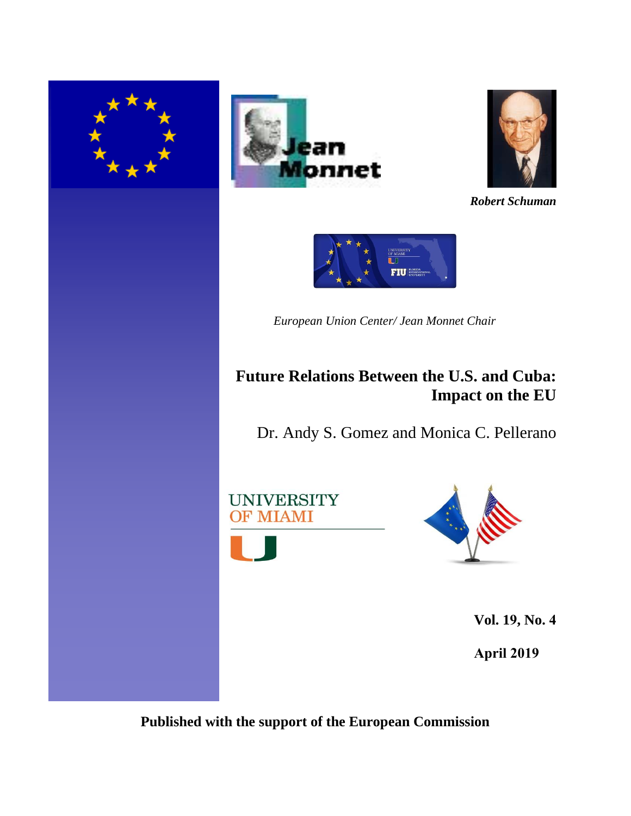





*Robert Schuman*



*European Union Center/ Jean Monnet Chair*

# **Future Relations Between the U.S. and Cuba: Impact on the EU**

Dr. Andy S. Gomez and Monica C. Pellerano





**Vol. 19, No. 4** 

**April 2019**

**Published with the support of the European Commission**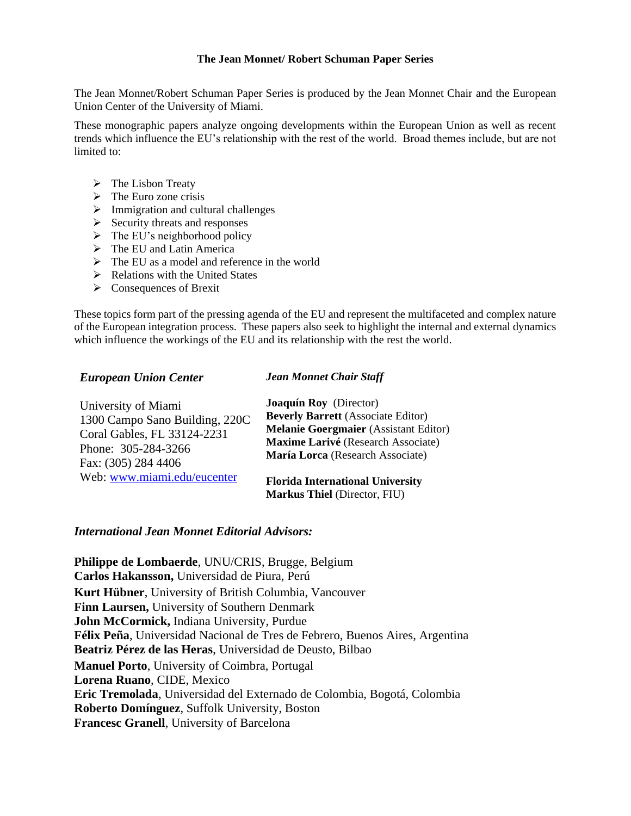#### **The Jean Monnet/ Robert Schuman Paper Series**

The Jean Monnet/Robert Schuman Paper Series is produced by the Jean Monnet Chair and the European Union Center of the University of Miami.

These monographic papers analyze ongoing developments within the European Union as well as recent trends which influence the EU's relationship with the rest of the world. Broad themes include, but are not limited to:

- ➢ The Lisbon Treaty
- $\triangleright$  The Euro zone crisis
- $\triangleright$  Immigration and cultural challenges
- $\triangleright$  Security threats and responses
- $\triangleright$  The EU's neighborhood policy
- ➢ The EU and Latin America
- ➢ The EU as a model and reference in the world
- $\triangleright$  Relations with the United States
- ➢ Consequences of Brexit

These topics form part of the pressing agenda of the EU and represent the multifaceted and complex nature of the European integration process. These papers also seek to highlight the internal and external dynamics which influence the workings of the EU and its relationship with the rest the world.

#### *European Union Center*

### *Jean Monnet Chair Staff*

| University of Miami            | <b>Joaquín Roy</b> (Director)                                                  |
|--------------------------------|--------------------------------------------------------------------------------|
| 1300 Campo Sano Building, 220C | <b>Beverly Barrett</b> (Associate Editor)                                      |
| Coral Gables, FL 33124-2231    | <b>Melanie Goergmaier</b> (Assistant Editor)                                   |
| Phone: 305-284-3266            | Maxime Larivé (Research Associate)                                             |
| Fax: (305) 284 4406            | María Lorca (Research Associate)                                               |
| Web: www.miami.edu/eucenter    | <b>Florida International University</b><br><b>Markus Thiel (Director, FIU)</b> |

#### *International Jean Monnet Editorial Advisors:*

**Philippe de Lombaerde**, UNU/CRIS, Brugge, Belgium **Carlos Hakansson,** Universidad de Piura, Perú **Kurt Hübner**, University of British Columbia, Vancouver **Finn Laursen,** University of Southern Denmark **John McCormick,** Indiana University, Purdue **Félix Peña**, Universidad Nacional de Tres de Febrero, Buenos Aires, Argentina **Beatriz Pérez de las Heras**, Universidad de Deusto, Bilbao **Manuel Porto**, University of Coimbra, Portugal **Lorena Ruano**, CIDE, Mexico **Eric Tremolada**, Universidad del Externado de Colombia, Bogotá, Colombia **Roberto Domínguez**, Suffolk University, Boston **Francesc Granell**, University of Barcelona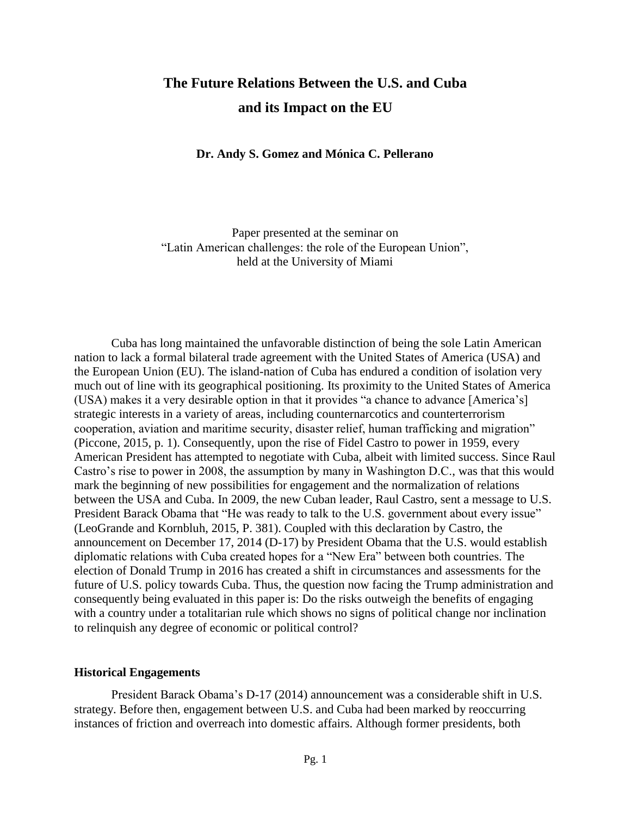## **The Future Relations Between the U.S. and Cuba and its Impact on the EU**

**Dr. Andy S. Gomez and Mónica C. Pellerano** 

Paper presented at the seminar on "Latin American challenges: the role of the European Union", held at the University of Miami

Cuba has long maintained the unfavorable distinction of being the sole Latin American nation to lack a formal bilateral trade agreement with the United States of America (USA) and the European Union (EU). The island-nation of Cuba has endured a condition of isolation very much out of line with its geographical positioning. Its proximity to the United States of America (USA) makes it a very desirable option in that it provides "a chance to advance [America's] strategic interests in a variety of areas, including counternarcotics and counterterrorism cooperation, aviation and maritime security, disaster relief, human trafficking and migration" (Piccone, 2015, p. 1). Consequently, upon the rise of Fidel Castro to power in 1959, every American President has attempted to negotiate with Cuba, albeit with limited success. Since Raul Castro's rise to power in 2008, the assumption by many in Washington D.C., was that this would mark the beginning of new possibilities for engagement and the normalization of relations between the USA and Cuba. In 2009, the new Cuban leader, Raul Castro, sent a message to U.S. President Barack Obama that "He was ready to talk to the U.S. government about every issue" (LeoGrande and Kornbluh, 2015, P. 381). Coupled with this declaration by Castro, the announcement on December 17, 2014 (D-17) by President Obama that the U.S. would establish diplomatic relations with Cuba created hopes for a "New Era" between both countries. The election of Donald Trump in 2016 has created a shift in circumstances and assessments for the future of U.S. policy towards Cuba. Thus, the question now facing the Trump administration and consequently being evaluated in this paper is: Do the risks outweigh the benefits of engaging with a country under a totalitarian rule which shows no signs of political change nor inclination to relinquish any degree of economic or political control?

#### **Historical Engagements**

President Barack Obama's D-17 (2014) announcement was a considerable shift in U.S. strategy. Before then, engagement between U.S. and Cuba had been marked by reoccurring instances of friction and overreach into domestic affairs. Although former presidents, both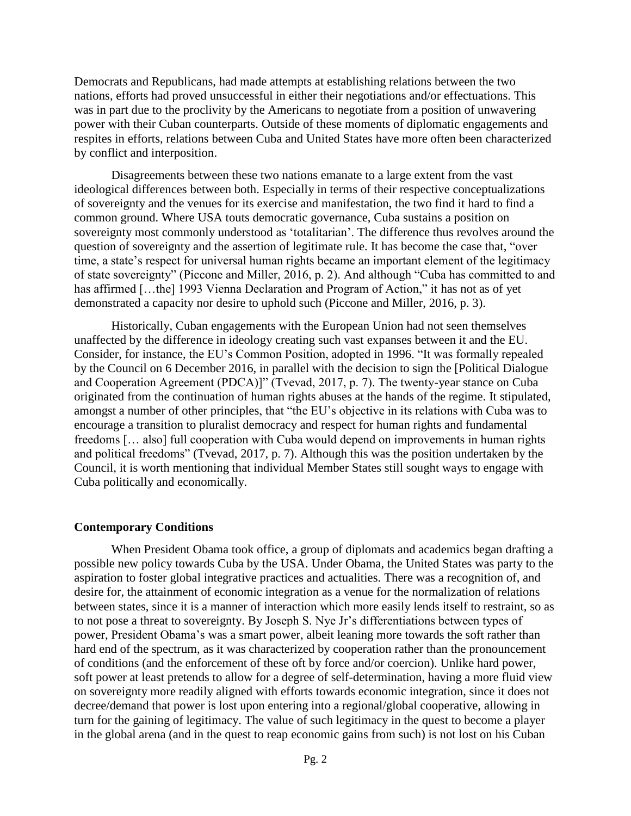Democrats and Republicans, had made attempts at establishing relations between the two nations, efforts had proved unsuccessful in either their negotiations and/or effectuations. This was in part due to the proclivity by the Americans to negotiate from a position of unwavering power with their Cuban counterparts. Outside of these moments of diplomatic engagements and respites in efforts, relations between Cuba and United States have more often been characterized by conflict and interposition.

Disagreements between these two nations emanate to a large extent from the vast ideological differences between both. Especially in terms of their respective conceptualizations of sovereignty and the venues for its exercise and manifestation, the two find it hard to find a common ground. Where USA touts democratic governance, Cuba sustains a position on sovereignty most commonly understood as 'totalitarian'. The difference thus revolves around the question of sovereignty and the assertion of legitimate rule. It has become the case that, "over time, a state's respect for universal human rights became an important element of the legitimacy of state sovereignty" (Piccone and Miller, 2016, p. 2). And although "Cuba has committed to and has affirmed [...the] 1993 Vienna Declaration and Program of Action," it has not as of yet demonstrated a capacity nor desire to uphold such (Piccone and Miller, 2016, p. 3).

Historically, Cuban engagements with the European Union had not seen themselves unaffected by the difference in ideology creating such vast expanses between it and the EU. Consider, for instance, the EU's Common Position, adopted in 1996. "It was formally repealed by the Council on 6 December 2016, in parallel with the decision to sign the [Political Dialogue and Cooperation Agreement (PDCA)]" (Tvevad, 2017, p. 7). The twenty-year stance on Cuba originated from the continuation of human rights abuses at the hands of the regime. It stipulated, amongst a number of other principles, that "the EU's objective in its relations with Cuba was to encourage a transition to pluralist democracy and respect for human rights and fundamental freedoms [… also] full cooperation with Cuba would depend on improvements in human rights and political freedoms" (Tvevad, 2017, p. 7). Although this was the position undertaken by the Council, it is worth mentioning that individual Member States still sought ways to engage with Cuba politically and economically.

### **Contemporary Conditions**

When President Obama took office, a group of diplomats and academics began drafting a possible new policy towards Cuba by the USA. Under Obama, the United States was party to the aspiration to foster global integrative practices and actualities. There was a recognition of, and desire for, the attainment of economic integration as a venue for the normalization of relations between states, since it is a manner of interaction which more easily lends itself to restraint, so as to not pose a threat to sovereignty. By Joseph S. Nye Jr's differentiations between types of power, President Obama's was a smart power, albeit leaning more towards the soft rather than hard end of the spectrum, as it was characterized by cooperation rather than the pronouncement of conditions (and the enforcement of these oft by force and/or coercion). Unlike hard power, soft power at least pretends to allow for a degree of self-determination, having a more fluid view on sovereignty more readily aligned with efforts towards economic integration, since it does not decree/demand that power is lost upon entering into a regional/global cooperative, allowing in turn for the gaining of legitimacy. The value of such legitimacy in the quest to become a player in the global arena (and in the quest to reap economic gains from such) is not lost on his Cuban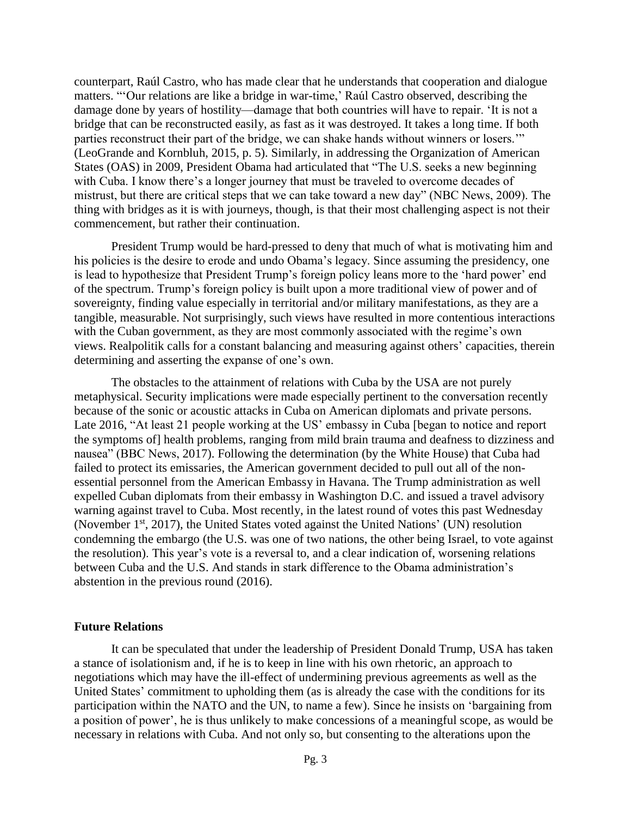counterpart, Raúl Castro, who has made clear that he understands that cooperation and dialogue matters. "'Our relations are like a bridge in war-time,' Raúl Castro observed, describing the damage done by years of hostility—damage that both countries will have to repair. 'It is not a bridge that can be reconstructed easily, as fast as it was destroyed. It takes a long time. If both parties reconstruct their part of the bridge, we can shake hands without winners or losers.'" (LeoGrande and Kornbluh, 2015, p. 5). Similarly, in addressing the Organization of American States (OAS) in 2009, President Obama had articulated that "The U.S. seeks a new beginning with Cuba. I know there's a longer journey that must be traveled to overcome decades of mistrust, but there are critical steps that we can take toward a new day" (NBC News, 2009). The thing with bridges as it is with journeys, though, is that their most challenging aspect is not their commencement, but rather their continuation.

President Trump would be hard-pressed to deny that much of what is motivating him and his policies is the desire to erode and undo Obama's legacy. Since assuming the presidency, one is lead to hypothesize that President Trump's foreign policy leans more to the 'hard power' end of the spectrum. Trump's foreign policy is built upon a more traditional view of power and of sovereignty, finding value especially in territorial and/or military manifestations, as they are a tangible, measurable. Not surprisingly, such views have resulted in more contentious interactions with the Cuban government, as they are most commonly associated with the regime's own views. Realpolitik calls for a constant balancing and measuring against others' capacities, therein determining and asserting the expanse of one's own.

The obstacles to the attainment of relations with Cuba by the USA are not purely metaphysical. Security implications were made especially pertinent to the conversation recently because of the sonic or acoustic attacks in Cuba on American diplomats and private persons. Late 2016, "At least 21 people working at the US' embassy in Cuba [began to notice and report the symptoms of] health problems, ranging from mild brain trauma and deafness to dizziness and nausea" (BBC News, 2017). Following the determination (by the White House) that Cuba had failed to protect its emissaries, the American government decided to pull out all of the nonessential personnel from the American Embassy in Havana. The Trump administration as well expelled Cuban diplomats from their embassy in Washington D.C. and issued a travel advisory warning against travel to Cuba. Most recently, in the latest round of votes this past Wednesday (November 1<sup>st</sup>, 2017), the United States voted against the United Nations' (UN) resolution condemning the embargo (the U.S. was one of two nations, the other being Israel, to vote against the resolution). This year's vote is a reversal to, and a clear indication of, worsening relations between Cuba and the U.S. And stands in stark difference to the Obama administration's abstention in the previous round (2016).

#### **Future Relations**

It can be speculated that under the leadership of President Donald Trump, USA has taken a stance of isolationism and, if he is to keep in line with his own rhetoric, an approach to negotiations which may have the ill-effect of undermining previous agreements as well as the United States' commitment to upholding them (as is already the case with the conditions for its participation within the NATO and the UN, to name a few). Since he insists on 'bargaining from a position of power', he is thus unlikely to make concessions of a meaningful scope, as would be necessary in relations with Cuba. And not only so, but consenting to the alterations upon the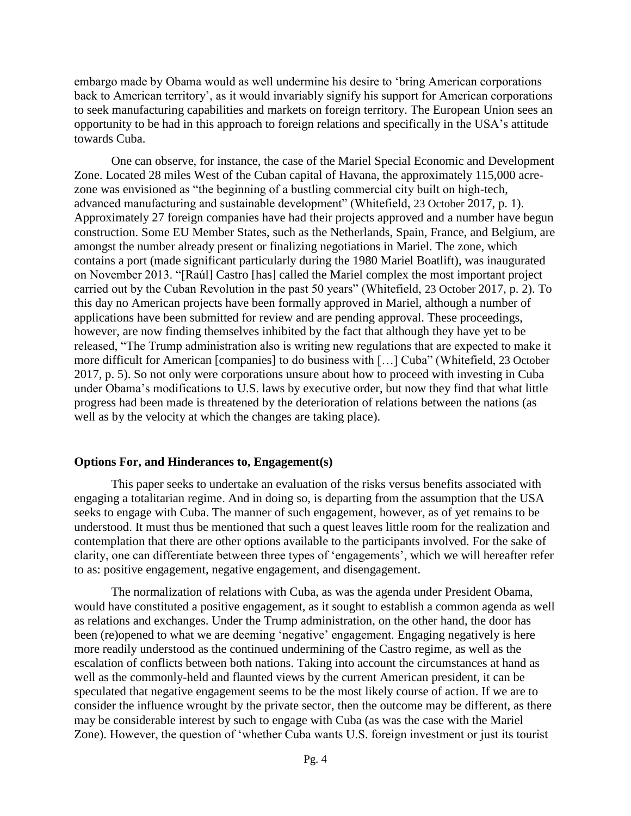embargo made by Obama would as well undermine his desire to 'bring American corporations back to American territory', as it would invariably signify his support for American corporations to seek manufacturing capabilities and markets on foreign territory. The European Union sees an opportunity to be had in this approach to foreign relations and specifically in the USA's attitude towards Cuba.

One can observe, for instance, the case of the Mariel Special Economic and Development Zone. Located 28 miles West of the Cuban capital of Havana, the approximately 115,000 acrezone was envisioned as "the beginning of a bustling commercial city built on high-tech, advanced manufacturing and sustainable development" (Whitefield, 23 October 2017, p. 1). Approximately 27 foreign companies have had their projects approved and a number have begun construction. Some EU Member States, such as the Netherlands, Spain, France, and Belgium, are amongst the number already present or finalizing negotiations in Mariel. The zone, which contains a port (made significant particularly during the 1980 Mariel Boatlift), was inaugurated on November 2013. "[Raúl] Castro [has] called the Mariel complex the most important project carried out by the Cuban Revolution in the past 50 years" (Whitefield, 23 October 2017, p. 2). To this day no American projects have been formally approved in Mariel, although a number of applications have been submitted for review and are pending approval. These proceedings, however, are now finding themselves inhibited by the fact that although they have yet to be released, "The Trump administration also is writing new regulations that are expected to make it more difficult for American [companies] to do business with […] Cuba" (Whitefield, 23 October 2017, p. 5). So not only were corporations unsure about how to proceed with investing in Cuba under Obama's modifications to U.S. laws by executive order, but now they find that what little progress had been made is threatened by the deterioration of relations between the nations (as well as by the velocity at which the changes are taking place).

### **Options For, and Hinderances to, Engagement(s)**

This paper seeks to undertake an evaluation of the risks versus benefits associated with engaging a totalitarian regime. And in doing so, is departing from the assumption that the USA seeks to engage with Cuba. The manner of such engagement, however, as of yet remains to be understood. It must thus be mentioned that such a quest leaves little room for the realization and contemplation that there are other options available to the participants involved. For the sake of clarity, one can differentiate between three types of 'engagements', which we will hereafter refer to as: positive engagement, negative engagement, and disengagement.

The normalization of relations with Cuba, as was the agenda under President Obama, would have constituted a positive engagement, as it sought to establish a common agenda as well as relations and exchanges. Under the Trump administration, on the other hand, the door has been (re)opened to what we are deeming 'negative' engagement. Engaging negatively is here more readily understood as the continued undermining of the Castro regime, as well as the escalation of conflicts between both nations. Taking into account the circumstances at hand as well as the commonly-held and flaunted views by the current American president, it can be speculated that negative engagement seems to be the most likely course of action. If we are to consider the influence wrought by the private sector, then the outcome may be different, as there may be considerable interest by such to engage with Cuba (as was the case with the Mariel Zone). However, the question of 'whether Cuba wants U.S. foreign investment or just its tourist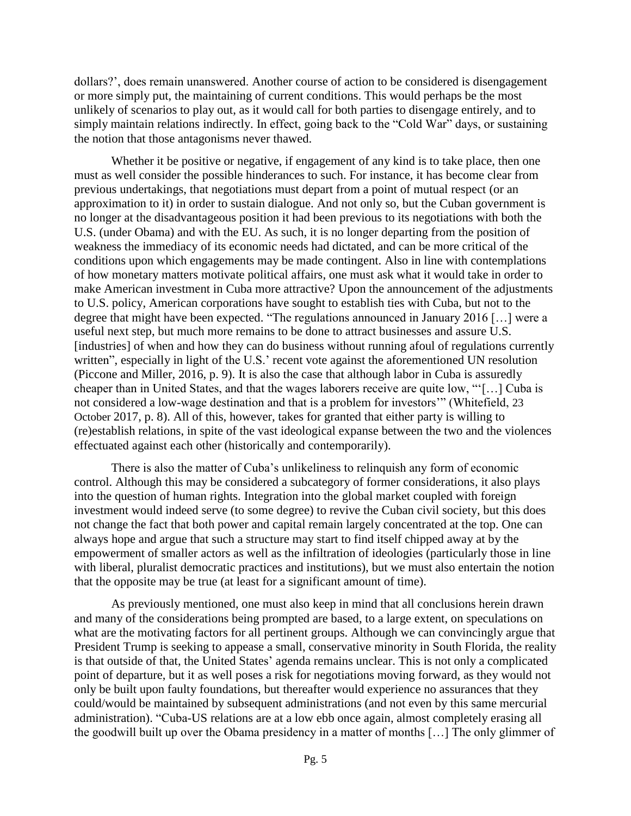dollars?', does remain unanswered. Another course of action to be considered is disengagement or more simply put, the maintaining of current conditions. This would perhaps be the most unlikely of scenarios to play out, as it would call for both parties to disengage entirely, and to simply maintain relations indirectly. In effect, going back to the "Cold War" days, or sustaining the notion that those antagonisms never thawed.

Whether it be positive or negative, if engagement of any kind is to take place, then one must as well consider the possible hinderances to such. For instance, it has become clear from previous undertakings, that negotiations must depart from a point of mutual respect (or an approximation to it) in order to sustain dialogue. And not only so, but the Cuban government is no longer at the disadvantageous position it had been previous to its negotiations with both the U.S. (under Obama) and with the EU. As such, it is no longer departing from the position of weakness the immediacy of its economic needs had dictated, and can be more critical of the conditions upon which engagements may be made contingent. Also in line with contemplations of how monetary matters motivate political affairs, one must ask what it would take in order to make American investment in Cuba more attractive? Upon the announcement of the adjustments to U.S. policy, American corporations have sought to establish ties with Cuba, but not to the degree that might have been expected. "The regulations announced in January 2016 […] were a useful next step, but much more remains to be done to attract businesses and assure U.S. [industries] of when and how they can do business without running afoul of regulations currently written", especially in light of the U.S.' recent vote against the aforementioned UN resolution (Piccone and Miller, 2016, p. 9). It is also the case that although labor in Cuba is assuredly cheaper than in United States, and that the wages laborers receive are quite low, "'[…] Cuba is not considered a low-wage destination and that is a problem for investors'" (Whitefield, 23 October 2017, p. 8). All of this, however, takes for granted that either party is willing to (re)establish relations, in spite of the vast ideological expanse between the two and the violences effectuated against each other (historically and contemporarily).

There is also the matter of Cuba's unlikeliness to relinquish any form of economic control. Although this may be considered a subcategory of former considerations, it also plays into the question of human rights. Integration into the global market coupled with foreign investment would indeed serve (to some degree) to revive the Cuban civil society, but this does not change the fact that both power and capital remain largely concentrated at the top. One can always hope and argue that such a structure may start to find itself chipped away at by the empowerment of smaller actors as well as the infiltration of ideologies (particularly those in line with liberal, pluralist democratic practices and institutions), but we must also entertain the notion that the opposite may be true (at least for a significant amount of time).

As previously mentioned, one must also keep in mind that all conclusions herein drawn and many of the considerations being prompted are based, to a large extent, on speculations on what are the motivating factors for all pertinent groups. Although we can convincingly argue that President Trump is seeking to appease a small, conservative minority in South Florida, the reality is that outside of that, the United States' agenda remains unclear. This is not only a complicated point of departure, but it as well poses a risk for negotiations moving forward, as they would not only be built upon faulty foundations, but thereafter would experience no assurances that they could/would be maintained by subsequent administrations (and not even by this same mercurial administration). "Cuba-US relations are at a low ebb once again, almost completely erasing all the goodwill built up over the Obama presidency in a matter of months […] The only glimmer of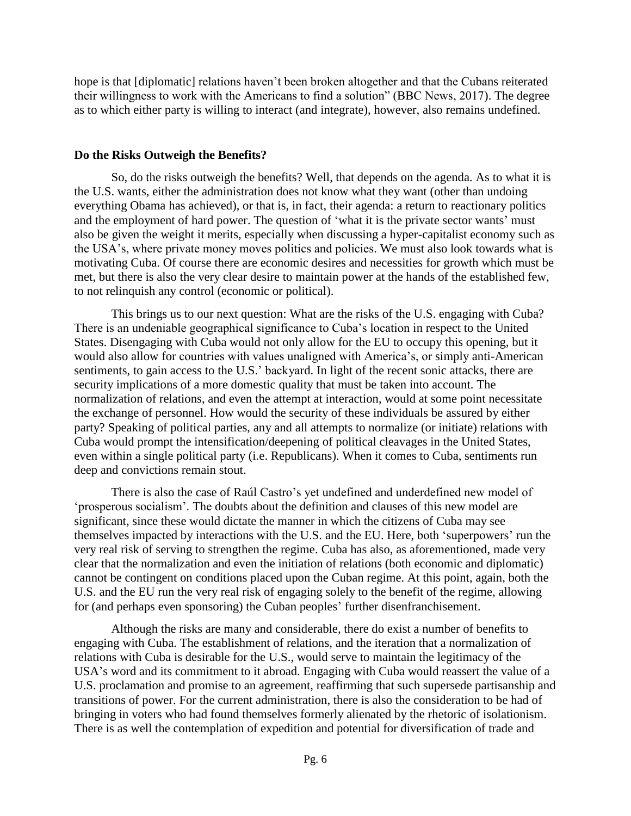hope is that [diplomatic] relations haven't been broken altogether and that the Cubans reiterated their willingness to work with the Americans to find a solution" (BBC News, 2017). The degree as to which either party is willing to interact (and integrate), however, also remains undefined.

## **Do the Risks Outweigh the Benefits?**

So, do the risks outweigh the benefits? Well, that depends on the agenda. As to what it is the U.S. wants, either the administration does not know what they want (other than undoing everything Obama has achieved), or that is, in fact, their agenda: a return to reactionary politics and the employment of hard power. The question of 'what it is the private sector wants' must also be given the weight it merits, especially when discussing a hyper-capitalist economy such as the USA's, where private money moves politics and policies. We must also look towards what is motivating Cuba. Of course there are economic desires and necessities for growth which must be met, but there is also the very clear desire to maintain power at the hands of the established few, to not relinquish any control (economic or political).

This brings us to our next question: What are the risks of the U.S. engaging with Cuba? There is an undeniable geographical significance to Cuba's location in respect to the United States. Disengaging with Cuba would not only allow for the EU to occupy this opening, but it would also allow for countries with values unaligned with America's, or simply anti-American sentiments, to gain access to the U.S.' backyard. In light of the recent sonic attacks, there are security implications of a more domestic quality that must be taken into account. The normalization of relations, and even the attempt at interaction, would at some point necessitate the exchange of personnel. How would the security of these individuals be assured by either party? Speaking of political parties, any and all attempts to normalize (or initiate) relations with Cuba would prompt the intensification/deepening of political cleavages in the United States, even within a single political party (i.e. Republicans). When it comes to Cuba, sentiments run deep and convictions remain stout.

There is also the case of Raúl Castro's yet undefined and underdefined new model of 'prosperous socialism'. The doubts about the definition and clauses of this new model are significant, since these would dictate the manner in which the citizens of Cuba may see themselves impacted by interactions with the U.S. and the EU. Here, both 'superpowers' run the very real risk of serving to strengthen the regime. Cuba has also, as aforementioned, made very clear that the normalization and even the initiation of relations (both economic and diplomatic) cannot be contingent on conditions placed upon the Cuban regime. At this point, again, both the U.S. and the EU run the very real risk of engaging solely to the benefit of the regime, allowing for (and perhaps even sponsoring) the Cuban peoples' further disenfranchisement.

Although the risks are many and considerable, there do exist a number of benefits to engaging with Cuba. The establishment of relations, and the iteration that a normalization of relations with Cuba is desirable for the U.S., would serve to maintain the legitimacy of the USA's word and its commitment to it abroad. Engaging with Cuba would reassert the value of a U.S. proclamation and promise to an agreement, reaffirming that such supersede partisanship and transitions of power. For the current administration, there is also the consideration to be had of bringing in voters who had found themselves formerly alienated by the rhetoric of isolationism. There is as well the contemplation of expedition and potential for diversification of trade and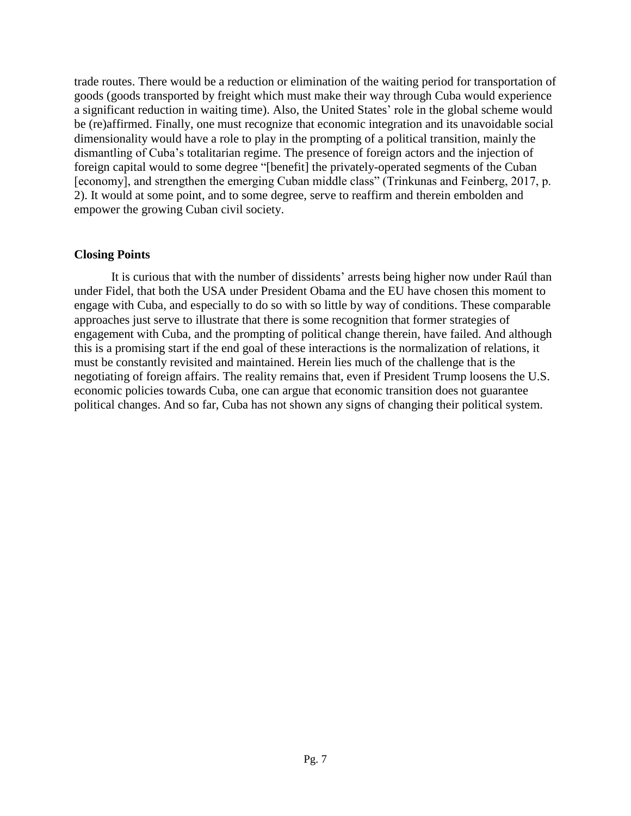trade routes. There would be a reduction or elimination of the waiting period for transportation of goods (goods transported by freight which must make their way through Cuba would experience a significant reduction in waiting time). Also, the United States' role in the global scheme would be (re)affirmed. Finally, one must recognize that economic integration and its unavoidable social dimensionality would have a role to play in the prompting of a political transition, mainly the dismantling of Cuba's totalitarian regime. The presence of foreign actors and the injection of foreign capital would to some degree "[benefit] the privately-operated segments of the Cuban [economy], and strengthen the emerging Cuban middle class" (Trinkunas and Feinberg, 2017, p. 2). It would at some point, and to some degree, serve to reaffirm and therein embolden and empower the growing Cuban civil society.

## **Closing Points**

It is curious that with the number of dissidents' arrests being higher now under Raúl than under Fidel, that both the USA under President Obama and the EU have chosen this moment to engage with Cuba, and especially to do so with so little by way of conditions. These comparable approaches just serve to illustrate that there is some recognition that former strategies of engagement with Cuba, and the prompting of political change therein, have failed. And although this is a promising start if the end goal of these interactions is the normalization of relations, it must be constantly revisited and maintained. Herein lies much of the challenge that is the negotiating of foreign affairs. The reality remains that, even if President Trump loosens the U.S. economic policies towards Cuba, one can argue that economic transition does not guarantee political changes. And so far, Cuba has not shown any signs of changing their political system.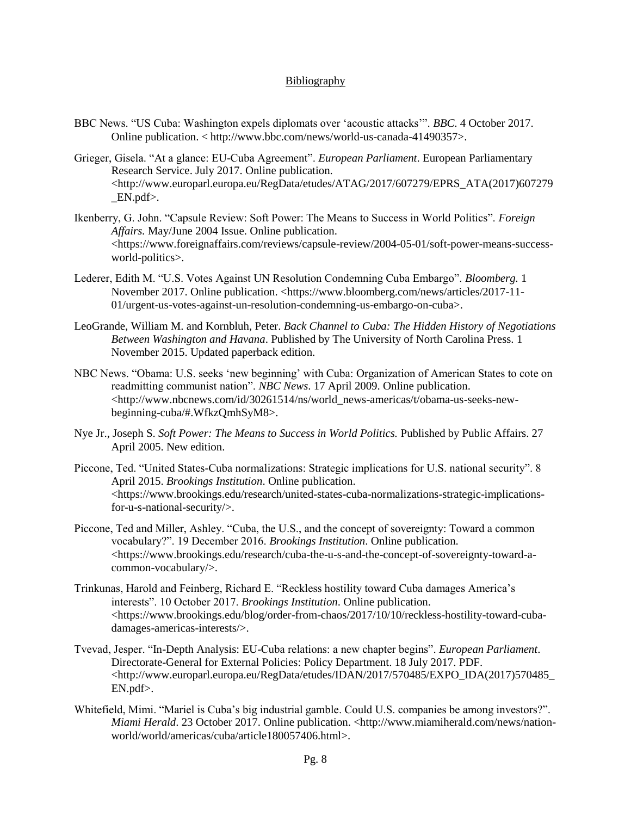#### Bibliography

- BBC News. "US Cuba: Washington expels diplomats over 'acoustic attacks'". *BBC*. 4 October 2017. Online publication. < http://www.bbc.com/news/world-us-canada-41490357>.
- Grieger, Gisela. "At a glance: EU-Cuba Agreement". *European Parliament*. European Parliamentary Research Service. July 2017. Online publication. <http://www.europarl.europa.eu/RegData/etudes/ATAG/2017/607279/EPRS\_ATA(2017)607279  $EN.pdf$ .
- Ikenberry, G. John. "Capsule Review: Soft Power: The Means to Success in World Politics". *Foreign Affairs.* May/June 2004 Issue. Online publication. <https://www.foreignaffairs.com/reviews/capsule-review/2004-05-01/soft-power-means-successworld-politics>.
- Lederer, Edith M. "U.S. Votes Against UN Resolution Condemning Cuba Embargo". *Bloomberg.* 1 November 2017. Online publication. <https://www.bloomberg.com/news/articles/2017-11-01/urgent-us-votes-against-un-resolution-condemning-us-embargo-on-cuba>.
- LeoGrande, William M. and Kornbluh, Peter. *Back Channel to Cuba: The Hidden History of Negotiations Between Washington and Havana*. Published by The University of North Carolina Press. 1 November 2015. Updated paperback edition.
- NBC News. "Obama: U.S. seeks 'new beginning' with Cuba: Organization of American States to cote on readmitting communist nation". *NBC News*. 17 April 2009. Online publication. <http://www.nbcnews.com/id/30261514/ns/world\_news-americas/t/obama-us-seeks-newbeginning-cuba/#.WfkzQmhSyM8>.
- Nye Jr., Joseph S. *Soft Power: The Means to Success in World Politics.* Published by Public Affairs. 27 April 2005. New edition.
- Piccone, Ted. "United States-Cuba normalizations: Strategic implications for U.S. national security". 8 April 2015. *Brookings Institution*. Online publication. <https://www.brookings.edu/research/united-states-cuba-normalizations-strategic-implicationsfor-u-s-national-security/>.
- Piccone, Ted and Miller, Ashley. "Cuba, the U.S., and the concept of sovereignty: Toward a common vocabulary?". 19 December 2016. *Brookings Institution*. Online publication. <https://www.brookings.edu/research/cuba-the-u-s-and-the-concept-of-sovereignty-toward-acommon-vocabulary/>.
- Trinkunas, Harold and Feinberg, Richard E. "Reckless hostility toward Cuba damages America's interests". 10 October 2017. *Brookings Institution*. Online publication. <https://www.brookings.edu/blog/order-from-chaos/2017/10/10/reckless-hostility-toward-cubadamages-americas-interests/>.
- Tvevad, Jesper. "In-Depth Analysis: EU-Cuba relations: a new chapter begins". *European Parliament*. Directorate-General for External Policies: Policy Department. 18 July 2017. PDF.  $\lt$ http://www.europarl.europa.eu/RegData/etudes/IDAN/2017/570485/EXPO\_IDA(2017)570485 EN.pdf>.
- Whitefield, Mimi. "Mariel is Cuba's big industrial gamble. Could U.S. companies be among investors?". *Miami Herald.* 23 October 2017. Online publication. <http://www.miamiherald.com/news/nationworld/world/americas/cuba/article180057406.html>.